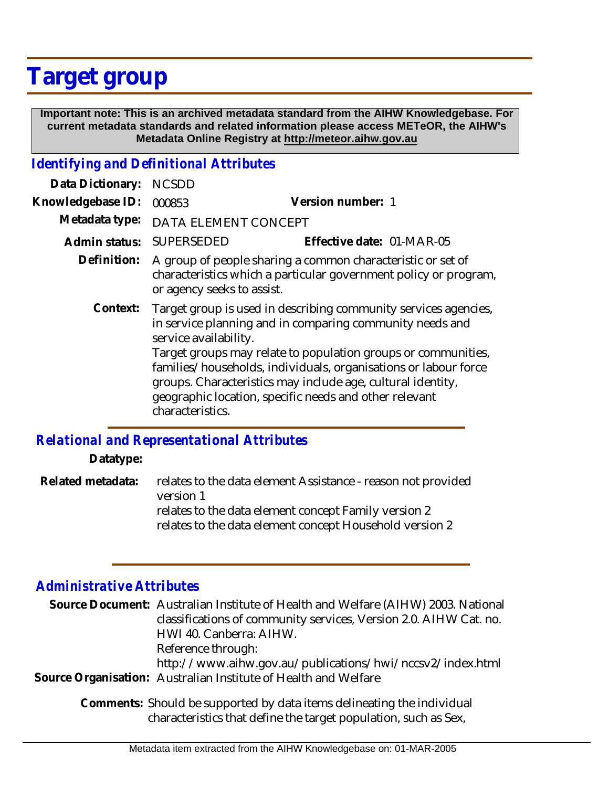## **Target group**

 **Important note: This is an archived metadata standard from the AIHW Knowledgebase. For current metadata standards and related information please access METeOR, the AIHW's Metadata Online Registry at http://meteor.aihw.gov.au**

## *Identifying and Definitional Attributes*

| Data Dictionary:  | <b>NCSDD</b>                                                                                                                                                                                                                                                                                                                                                                                                                          |                           |
|-------------------|---------------------------------------------------------------------------------------------------------------------------------------------------------------------------------------------------------------------------------------------------------------------------------------------------------------------------------------------------------------------------------------------------------------------------------------|---------------------------|
| Knowledgebase ID: | 000853                                                                                                                                                                                                                                                                                                                                                                                                                                | Version number: 1         |
| Metadata type:    | DATA ELEMENT CONCEPT                                                                                                                                                                                                                                                                                                                                                                                                                  |                           |
| Admin status:     | <b>SUPERSEDED</b>                                                                                                                                                                                                                                                                                                                                                                                                                     | Effective date: 01-MAR-05 |
| Definition:       | A group of people sharing a common characteristic or set of<br>characteristics which a particular government policy or program,<br>or agency seeks to assist.                                                                                                                                                                                                                                                                         |                           |
| Context:          | Target group is used in describing community services agencies,<br>in service planning and in comparing community needs and<br>service availability.<br>Target groups may relate to population groups or communities,<br>families/households, individuals, organisations or labour force<br>groups. Characteristics may include age, cultural identity,<br>geographic location, specific needs and other relevant<br>characteristics. |                           |

## *Relational and Representational Attributes*

**Datatype:**

relates to the data element Assistance - reason not provided version 1 relates to the data element concept Family version 2 relates to the data element concept Household version 2 **Related metadata:**

## *Administrative Attributes*

| Source Document: Australian Institute of Health and Welfare (AIHW) 2003. National<br>classifications of community services, Version 2.0. AIHW Cat. no.<br>HWI 40. Canberra: AIHW. |
|-----------------------------------------------------------------------------------------------------------------------------------------------------------------------------------|
| Reference through:<br>http://www.aihw.gov.au/publications/hwi/nccsv2/index.html<br>Source Organisation: Australian Institute of Health and Welfare                                |
| Comments: Should be supported by data items delineating the individual<br>characteristics that define the target population, such as Sex,                                         |